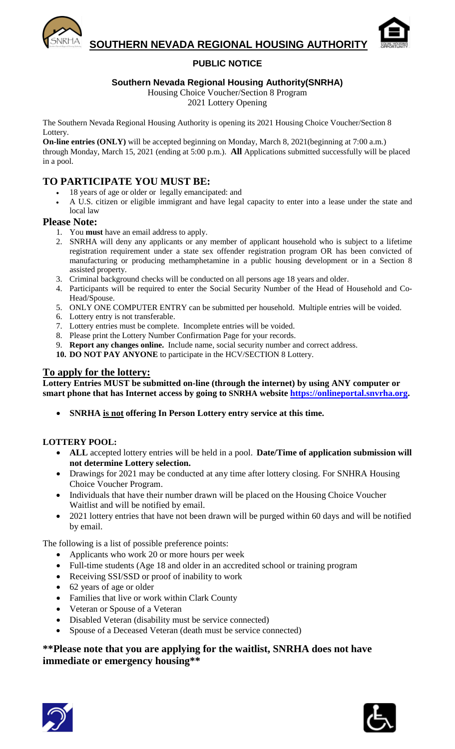

**SOUTHERN NEVADA REGIONAL HOUSING AUTHORITY** 



## **PUBLIC NOTICE**

### **Southern Nevada Regional Housing Authority(SNRHA)**

Housing Choice Voucher/Section 8 Program

2021 Lottery Opening

The Southern Nevada Regional Housing Authority is opening its 2021 Housing Choice Voucher/Section 8 Lottery.

**On-line entries (ONLY)** will be accepted beginning on Monday, March 8, 2021(beginning at 7:00 a.m.) through Monday, March 15, 2021 (ending at 5:00 p.m.). **All** Applications submitted successfully will be placed in a pool.

# **TO PARTICIPATE YOU MUST BE:**

- 18 years of age or older or legally emancipated: and
- A U.S. citizen or eligible immigrant and have legal capacity to enter into a lease under the state and local law

### **Please Note:**

- 1. You **must** have an email address to apply.
- 2. SNRHA will deny any applicants or any member of applicant household who is subject to a lifetime registration requirement under a state sex offender registration program OR has been convicted of manufacturing or producing methamphetamine in a public housing development or in a Section 8 assisted property.
- 3. Criminal background checks will be conducted on all persons age 18 years and older.
- 4. Participants will be required to enter the Social Security Number of the Head of Household and Co-Head/Spouse.
- 5. ONLY ONE COMPUTER ENTRY can be submitted per household. Multiple entries will be voided.
- 6. Lottery entry is not transferable.
- 7. Lottery entries must be complete. Incomplete entries will be voided.
- 8. Please print the Lottery Number Confirmation Page for your records.
- 9. **Report any changes online.** Include name, social security number and correct address.
- **10. DO NOT PAY ANYONE** to participate in the HCV/SECTION 8 Lottery.

## **To apply for the lottery:**

**Lottery Entries MUST be submitted on-line (through the internet) by using ANY computer or smart phone that has Internet access by going to SNRHA website [https://onlineportal.snvrha.org.](https://onlineportal.snvrha.org/)**

• **SNRHA is not offering In Person Lottery entry service at this time.**

#### **LOTTERY POOL:**

- **ALL** accepted lottery entries will be held in a pool. **Date/Time of application submission will not determine Lottery selection.**
- Drawings for 2021 may be conducted at any time after lottery closing. For SNHRA Housing Choice Voucher Program.
- Individuals that have their number drawn will be placed on the Housing Choice Voucher Waitlist and will be notified by email.
- 2021 lottery entries that have not been drawn will be purged within 60 days and will be notified by email.

The following is a list of possible preference points:

- Applicants who work 20 or more hours per week
- Full-time students (Age 18 and older in an accredited school or training program
- Receiving SSI/SSD or proof of inability to work
- 62 years of age or older
- Families that live or work within Clark County
- Veteran or Spouse of a Veteran
- Disabled Veteran (disability must be service connected)
- Spouse of a Deceased Veteran (death must be service connected)

## **\*\*Please note that you are applying for the waitlist, SNRHA does not have immediate or emergency housing\*\***